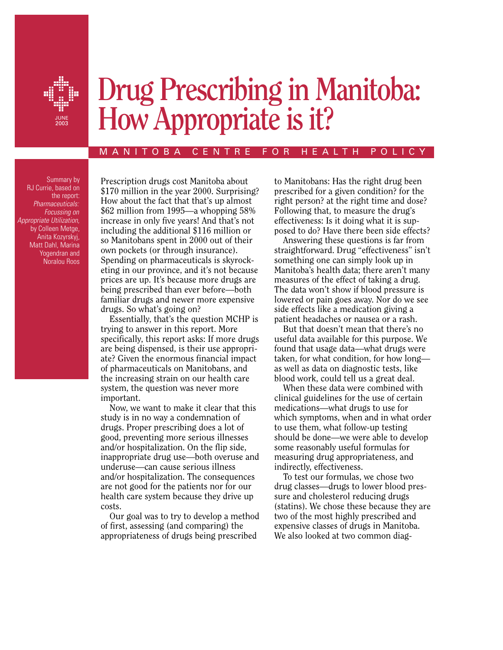

# **Drug** Prescribing in Manitoba: How Appropriate is it?

#### M A N I T O B A C E N T R E F O R H E A L T H P O L I C Y

Summary by RJ Currie, based on the report: *Pharmaceuticals: Focussing on Appropriate Utilization,*  by Colleen Metge, Anita Kozyrskyj, Matt Dahl, Marina Yogendran and Noralou Roos

Prescription drugs cost Manitoba about \$170 million in the year 2000. Surprising? How about the fact that that's up almost \$62 million from 1995—a whopping 58% increase in only five years! And that's not including the additional \$116 million or so Manitobans spent in 2000 out of their own pockets (or through insurance). Spending on pharmaceuticals is skyrocketing in our province, and it's not because prices are up. It's because more drugs are being prescribed than ever before—both familiar drugs and newer more expensive drugs. So what's going on?

Essentially, that's the question MCHP is trying to answer in this report. More specifically, this report asks: If more drugs are being dispensed, is their use appropriate? Given the enormous financial impact of pharmaceuticals on Manitobans, and the increasing strain on our health care system, the question was never more important.

Now, we want to make it clear that this study is in no way a condemnation of drugs. Proper prescribing does a lot of good, preventing more serious illnesses and/or hospitalization. On the flip side, inappropriate drug use—both overuse and underuse—can cause serious illness and/or hospitalization. The consequences are not good for the patients nor for our health care system because they drive up costs.

Our goal was to try to develop a method of first, assessing (and comparing) the appropriateness of drugs being prescribed

to Manitobans: Has the right drug been prescribed for a given condition? for the right person? at the right time and dose? Following that, to measure the drug's effectiveness: Is it doing what it is supposed to do? Have there been side effects?

Answering these questions is far from straightforward. Drug "effectiveness" isn't something one can simply look up in Manitoba's health data; there aren't many measures of the effect of taking a drug. The data won't show if blood pressure is lowered or pain goes away. Nor do we see side effects like a medication giving a patient headaches or nausea or a rash.

But that doesn't mean that there's no useful data available for this purpose. We found that usage data—what drugs were taken, for what condition, for how long as well as data on diagnostic tests, like blood work, could tell us a great deal.

When these data were combined with clinical guidelines for the use of certain medications—what drugs to use for which symptoms, when and in what order to use them, what follow-up testing should be done—we were able to develop some reasonably useful formulas for measuring drug appropriateness, and indirectly, effectiveness.

To test our formulas, we chose two drug classes—drugs to lower blood pressure and cholesterol reducing drugs (statins). We chose these because they are two of the most highly prescribed and expensive classes of drugs in Manitoba. We also looked at two common diag-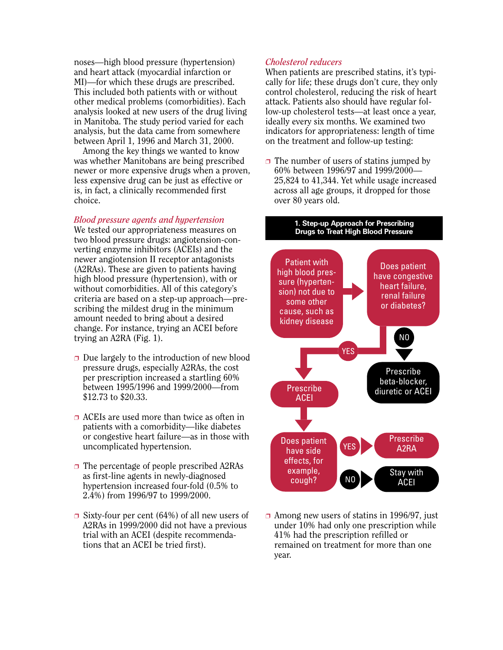noses—high blood pressure (hypertension) and heart attack (myocardial infarction or MI)—for which these drugs are prescribed. This included both patients with or without other medical problems (comorbidities). Each analysis looked at new users of the drug living in Manitoba. The study period varied for each analysis, but the data came from somewhere between April 1, 1996 and March 31, 2000.

Among the key things we wanted to know was whether Manitobans are being prescribed newer or more expensive drugs when a proven, less expensive drug can be just as effective or is, in fact, a clinically recommended first choice.

### *Blood pressure agents and hypertension*

We tested our appropriateness measures on two blood pressure drugs: angiotension-converting enzyme inhibitors (ACEIs) and the newer angiotension II receptor antagonists (A2RAs). These are given to patients having high blood pressure (hypertension), with or without comorbidities. All of this category's criteria are based on a step-up approach—prescribing the mildest drug in the minimum amount needed to bring about a desired change. For instance, trying an ACEI before trying an A2RA (Fig. 1).

- $\Box$  Due largely to the introduction of new blood pressure drugs, especially A2RAs, the cost per prescription increased a startling 60% between 1995/1996 and 1999/2000—from \$12.73 to \$20.33.
- ❐ ACEIs are used more than twice as often in patients with a comorbidity—like diabetes or congestive heart failure—as in those with uncomplicated hypertension.
- ❐ The percentage of people prescribed A2RAs as first-line agents in newly-diagnosed hypertension increased four-fold (0.5% to 2.4%) from 1996/97 to 1999/2000.
- $\Box$  Sixty-four per cent (64%) of all new users of A2RAs in 1999/2000 did not have a previous trial with an ACEI (despite recommendations that an ACEI be tried first).

## *Cholesterol reducers*

When patients are prescribed statins, it's typically for life; these drugs don't cure, they only control cholesterol, reducing the risk of heart attack. Patients also should have regular follow-up cholesterol tests—at least once a year, ideally every six months. We examined two indicators for appropriateness: length of time on the treatment and follow-up testing:

 $\Box$  The number of users of statins jumped by 60% between 1996/97 and 1999/2000— 25,824 to 41,344. Yet while usage increased across all age groups, it dropped for those over 80 years old.

#### **1. Step-up Approach for Prescribing Drugs to Treat High Blood Pressure**



 $\Box$  Among new users of statins in 1996/97, just under 10% had only one prescription while 41% had the prescription refilled or remained on treatment for more than one year.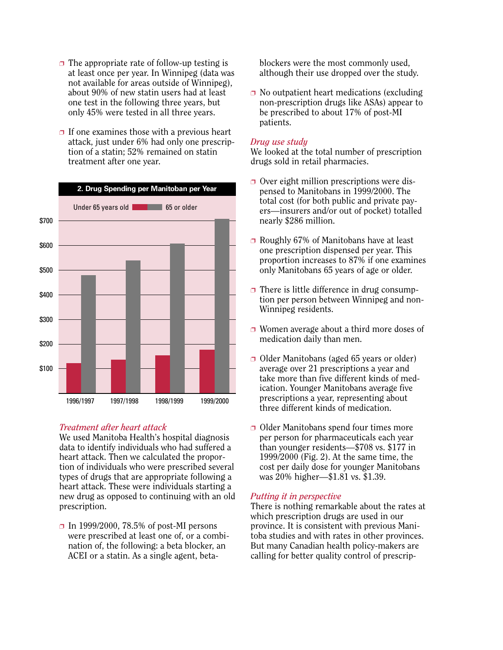- $\Box$  The appropriate rate of follow-up testing is at least once per year. In Winnipeg (data was not available for areas outside of Winnipeg), about 90% of new statin users had at least one test in the following three years, but only 45% were tested in all three years.
- $\Box$  If one examines those with a previous heart attack, just under 6% had only one prescription of a statin; 52% remained on statin treatment after one year.



## *Treatment after heart attack*

We used Manitoba Health's hospital diagnosis data to identify individuals who had suffered a heart attack. Then we calculated the proportion of individuals who were prescribed several types of drugs that are appropriate following a heart attack. These were individuals starting a new drug as opposed to continuing with an old prescription.

□ In 1999/2000, 78.5% of post-MI persons were prescribed at least one of, or a combination of, the following: a beta blocker, an ACEI or a statin. As a single agent, betablockers were the most commonly used, although their use dropped over the study.

 $\Box$  No outpatient heart medications (excluding non-prescription drugs like ASAs) appear to be prescribed to about 17% of post-MI patients.

## *Drug use study*

We looked at the total number of prescription drugs sold in retail pharmacies.

- ❐ Over eight million prescriptions were dispensed to Manitobans in 1999/2000. The total cost (for both public and private payers—insurers and/or out of pocket) totalled nearly \$286 million.
- ❐ Roughly 67% of Manitobans have at least one prescription dispensed per year. This proportion increases to 87% if one examines only Manitobans 65 years of age or older.
- $\Box$  There is little difference in drug consumption per person between Winnipeg and non-Winnipeg residents.
- ❐ Women average about a third more doses of medication daily than men.
- ❐ Older Manitobans (aged 65 years or older) average over 21 prescriptions a year and take more than five different kinds of medication. Younger Manitobans average five prescriptions a year, representing about three different kinds of medication.
- ❐ Older Manitobans spend four times more per person for pharmaceuticals each year than younger residents—\$708 vs. \$177 in 1999/2000 (Fig. 2). At the same time, the cost per daily dose for younger Manitobans was 20% higher—\$1.81 vs. \$1.39.

## *Putting it in perspective*

There is nothing remarkable about the rates at which prescription drugs are used in our province. It is consistent with previous Manitoba studies and with rates in other provinces. But many Canadian health policy-makers are calling for better quality control of prescrip